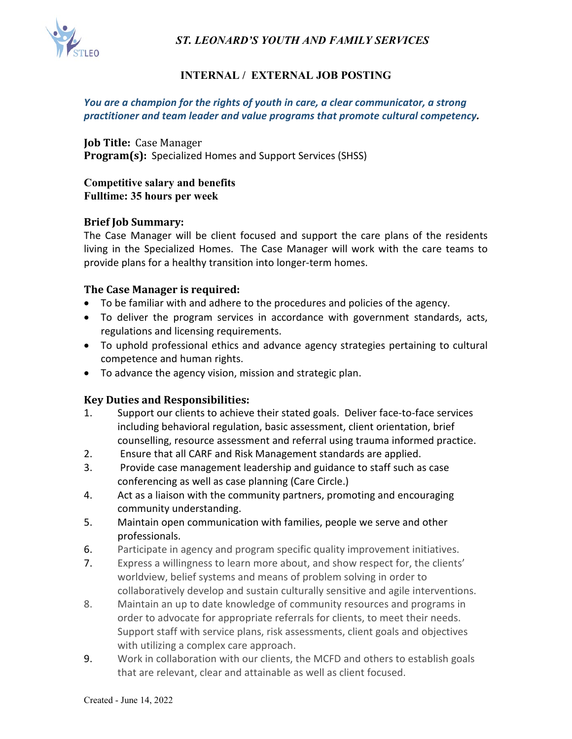*ST. LEONARD'S YOUTH AND FAMILY SERVICES*



## **INTERNAL / EXTERNAL JOB POSTING**

#### *You are a champion for the rights of youth in care, a clear communicator, a strong practitioner and team leader and value programs that promote cultural competency.*

**Job Title:** Case Manager **Program(s):** Specialized Homes and Support Services (SHSS)

#### **Competitive salary and benefits Fulltime: 35 hours per week**

#### **Brief Job Summary:**

The Case Manager will be client focused and support the care plans of the residents living in the Specialized Homes. The Case Manager will work with the care teams to provide plans for a healthy transition into longer-term homes.

#### **The Case Manager is required:**

- To be familiar with and adhere to the procedures and policies of the agency.
- To deliver the program services in accordance with government standards, acts, regulations and licensing requirements.
- To uphold professional ethics and advance agency strategies pertaining to cultural competence and human rights.
- To advance the agency vision, mission and strategic plan.

#### **Key Duties and Responsibilities:**

- 1. Support our clients to achieve their stated goals. Deliver face-to-face services including behavioral regulation, basic assessment, client orientation, brief counselling, resource assessment and referral using trauma informed practice.
- 2. Ensure that all CARF and Risk Management standards are applied.
- 3. Provide case management leadership and guidance to staff such as case conferencing as well as case planning (Care Circle.)
- 4. Act as a liaison with the community partners, promoting and encouraging community understanding.
- 5. Maintain open communication with families, people we serve and other professionals.
- 6. Participate in agency and program specific quality improvement initiatives.
- 7. Express a willingness to learn more about, and show respect for, the clients' worldview, belief systems and means of problem solving in order to collaboratively develop and sustain culturally sensitive and agile interventions.
- 8. Maintain an up to date knowledge of community resources and programs in order to advocate for appropriate referrals for clients, to meet their needs. Support staff with service plans, risk assessments, client goals and objectives with utilizing a complex care approach.
- 9. Work in collaboration with our clients, the MCFD and others to establish goals that are relevant, clear and attainable as well as client focused.